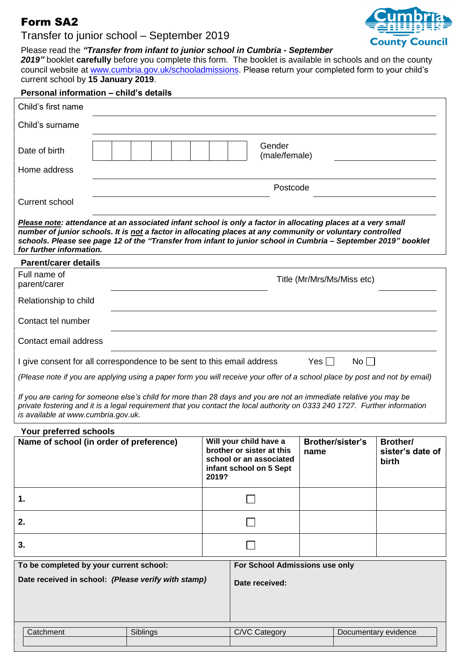## Form SA2

## Transfer to junior school – September 2019



#### Please read the *"Transfer from infant to junior school in Cumbria - September*

*2019"* booklet **carefully** before you complete this form. The booklet is available in schools and on the county council website at [www.cumbria.gov.uk/schooladmissions.](http://www.cumbria.gov.uk/schooladmissions) Please return your completed form to your child's current school by **15 January 2019**.

# **Personal information – child's details** Child's first name Child's surname Date of birth Gender (male/female) Home address Postcode Current school *Please note: attendance at an associated infant school is only a factor in allocating places at a very small number of junior schools. It is not a factor in allocating places at any community or voluntary controlled schools. Please see page 12 of the "Transfer from infant to junior school in Cumbria – September 2019" booklet for further information.* **Parent/carer details**  Full name of parent/carer Title (Mr/Mrs/Ms/Miss etc) Relationship to child

Contact tel number

Contact email address

I give consent for all correspondence to be sent to this email address Yes  $\Box$  No  $\Box$ 

*(Please note if you are applying using a paper form you will receive your offer of a school place by post and not by email)*

*If you are caring for someone else's child for more than 28 days and you are not an immediate relative you may be private fostering and it is a legal requirement that you contact the local authority on 0333 240 1727. Further information is available at www.cumbria.gov.uk.*

### **Your preferred schools**

| Name of school (in order of preference)             | 2019? | Will your child have a<br>brother or sister at this<br>school or an associated<br>infant school on 5 Sept | <b>Brother/sister's</b><br>name | <b>Brother/</b><br>sister's date of<br><b>birth</b> |
|-----------------------------------------------------|-------|-----------------------------------------------------------------------------------------------------------|---------------------------------|-----------------------------------------------------|
| 1.                                                  |       |                                                                                                           |                                 |                                                     |
| 2.                                                  |       |                                                                                                           |                                 |                                                     |
| 3.                                                  |       |                                                                                                           |                                 |                                                     |
| To be completed by your current school:             |       | For School Admissions use only                                                                            |                                 |                                                     |
| Date received in school: (Please verify with stamp) |       | Date received:                                                                                            |                                 |                                                     |

| Catchment | $\sim$ $\cdot$ $\cdot$ | C/VC     | Documentary |
|-----------|------------------------|----------|-------------|
|           | Siblings               | ∴ateαorv | evidence    |
|           |                        |          |             |